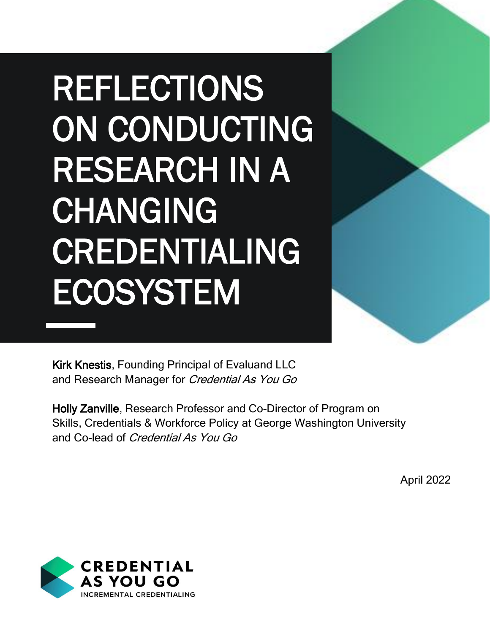## REFLECTIONS ON CONDUCTING RESEARCH IN A CHANGING CREDENTIALING ECOSYSTEM



Kirk Knestis, Founding Principal of Evaluand LLC and Research Manager for Credential As You Go

Holly Zanville, Research Professor and Co-Director of Program on Skills, Credentials & Workforce Policy at George Washington University and Co-lead of Credential As You Go

April 2022

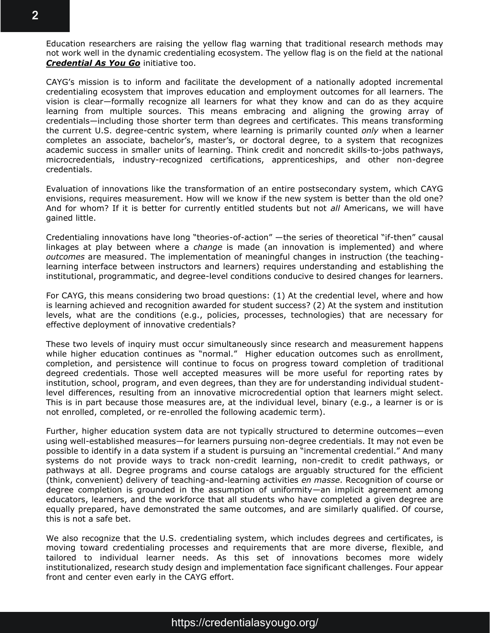Education researchers are raising the yellow flag warning that traditional research methods may not work well in the dynamic credentialing ecosystem. The yellow flag is on the field at the national *[Credential As You Go](https://credentialasyougo.org/)* initiative too.

CAYG's mission is to inform and facilitate the development of a nationally adopted incremental credentialing ecosystem that improves education and employment outcomes for all learners. The vision is clear—formally recognize all learners for what they know and can do as they acquire learning from multiple sources. This means embracing and aligning the growing array of credentials—including those shorter term than degrees and certificates. This means transforming the current U.S. degree-centric system, where learning is primarily counted *only* when a learner completes an associate, bachelor's, master's, or doctoral degree, to a system that recognizes academic success in smaller units of learning. Think credit and noncredit skills-to-jobs pathways, microcredentials, industry-recognized certifications, apprenticeships, and other non-degree credentials.

Evaluation of innovations like the transformation of an entire postsecondary system, which CAYG envisions, requires measurement. How will we know if the new system is better than the old one? And for whom? If it is better for currently entitled students but not *all* Americans, we will have gained little.

Credentialing innovations have long "theories-of-action" —the series of theoretical "if-then" causal linkages at play between where a *change* is made (an innovation is implemented) and where *outcomes* are measured. The implementation of meaningful changes in instruction (the teachinglearning interface between instructors and learners) requires understanding and establishing the institutional, programmatic, and degree-level conditions conducive to desired changes for learners.

For CAYG, this means considering two broad questions: (1) At the credential level, where and how is learning achieved and recognition awarded for student success? (2) At the system and institution levels, what are the conditions (e.g., policies, processes, technologies) that are necessary for effective deployment of innovative credentials?

These two levels of inquiry must occur simultaneously since research and measurement happens while higher education continues as "normal." Higher education outcomes such as enrollment, completion, and persistence will continue to focus on progress toward completion of traditional degreed credentials. Those well accepted measures will be more useful for reporting rates by institution, school, program, and even degrees, than they are for understanding individual studentlevel differences, resulting from an innovative microcredential option that learners might select. This is in part because those measures are, at the individual level, binary (e.g., a learner is or is not enrolled, completed, or re-enrolled the following academic term).

Further, higher education system data are not typically structured to determine outcomes—even using well-established measures—for learners pursuing non-degree credentials. It may not even be possible to identify in a data system if a student is pursuing an "incremental credential." And many systems do not provide ways to track non-credit learning, non-credit to credit pathways, or pathways at all. Degree programs and course catalogs are arguably structured for the efficient (think, convenient) delivery of teaching-and-learning activities *en masse*. Recognition of course or degree completion is grounded in the assumption of uniformity—an implicit agreement among educators, learners, and the workforce that all students who have completed a given degree are equally prepared, have demonstrated the same outcomes, and are similarly qualified. Of course, this is not a safe bet.

We also recognize that the U.S. credentialing system, which includes degrees and certificates, is moving toward credentialing processes and requirements that are more diverse, flexible, and tailored to individual learner needs. As this set of innovations becomes more widely institutionalized, research study design and implementation face significant challenges. Four appear front and center even early in the CAYG effort.

## https://credentialasyougo.org/